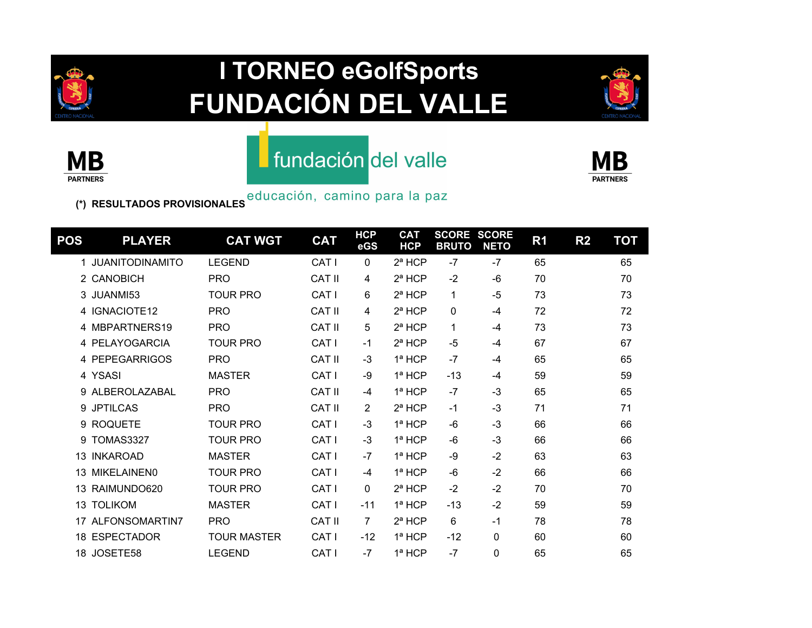

# **I TORNEO eGolfSports FUNDACIÓN DEL VALLE**





#### fundación del valle



**(\*) RESULTADOS PROVISIONALES**

| POS | <b>PLAYER</b>      | <b>CAT WGT</b>     | <b>CAT</b>       | <b>HCP</b><br>eGS | <b>CAT</b><br><b>HCP</b> | <b>SCORE</b><br><b>BRUTO</b> | <b>SCORE</b><br><b>NETO</b> | R <sub>1</sub> | R <sub>2</sub> | <b>TOT</b> |
|-----|--------------------|--------------------|------------------|-------------------|--------------------------|------------------------------|-----------------------------|----------------|----------------|------------|
|     | 1 JUANITODINAMITO  | <b>LEGEND</b>      | CAT I            | 0                 | 2 <sup>a</sup> HCP       | $-7$                         | $-7$                        | 65             |                | 65         |
|     | 2 CANOBICH         | <b>PRO</b>         | <b>CAT II</b>    | 4                 | $2^a$ HCP                | $-2$                         | $-6$                        | 70             |                | 70         |
|     | 3 JUANMI53         | <b>TOUR PRO</b>    | CAT I            | 6                 | $2^a$ HCP                | 1                            | $-5$                        | 73             |                | 73         |
|     | 4 IGNACIOTE12      | <b>PRO</b>         | <b>CAT II</b>    | 4                 | $2^a$ HCP                | 0                            | $-4$                        | 72             |                | 72         |
|     | 4 MBPARTNERS19     | <b>PRO</b>         | <b>CAT II</b>    | 5                 | $2^a$ HCP                | 1                            | -4                          | 73             |                | 73         |
|     | 4 PELAYOGARCIA     | <b>TOUR PRO</b>    | CAT I            | -1                | $2^a$ HCP                | $-5$                         | -4                          | 67             |                | 67         |
|     | 4 PEPEGARRIGOS     | <b>PRO</b>         | <b>CAT II</b>    | $-3$              | $1a$ HCP                 | $-7$                         | -4                          | 65             |                | 65         |
|     | 4 YSASI            | <b>MASTER</b>      | CAT I            | -9                | 1ª HCP                   | $-13$                        | $-4$                        | 59             |                | 59         |
|     | 9 ALBEROLAZABAL    | <b>PRO</b>         | <b>CAT II</b>    | $-4$              | $1a$ HCP                 | $-7$                         | $-3$                        | 65             |                | 65         |
|     | 9 JPTILCAS         | <b>PRO</b>         | CAT II           | 2                 | $2^a$ HCP                | $-1$                         | $-3$                        | 71             |                | 71         |
|     | 9 ROQUETE          | <b>TOUR PRO</b>    | CAT I            | $-3$              | $1a$ HCP                 | -6                           | $-3$                        | 66             |                | 66         |
| 9   | <b>TOMAS3327</b>   | <b>TOUR PRO</b>    | CAT I            | $-3$              | $1a$ HCP                 | $-6$                         | $-3$                        | 66             |                | 66         |
|     | 13 INKAROAD        | <b>MASTER</b>      | CAT I            | $-7$              | $1a$ HCP                 | -9                           | $-2$                        | 63             |                | 63         |
| 13  | <b>MIKELAINEN0</b> | <b>TOUR PRO</b>    | CAT <sub>I</sub> | $-4$              | 1ª HCP                   | -6                           | $-2$                        | 66             |                | 66         |
| 13  | RAIMUNDO620        | <b>TOUR PRO</b>    | CAT I            | $\mathbf{0}$      | 2 <sup>a</sup> HCP       | $-2$                         | $-2$                        | 70             |                | 70         |
|     | <b>13 TOLIKOM</b>  | <b>MASTER</b>      | CAT I            | $-11$             | $1a$ HCP                 | $-13$                        | $-2$                        | 59             |                | 59         |
|     | 17 ALFONSOMARTIN7  | <b>PRO</b>         | <b>CAT II</b>    | $\overline{7}$    | $2^a$ HCP                | 6                            | $-1$                        | 78             |                | 78         |
|     | 18 ESPECTADOR      | <b>TOUR MASTER</b> | CAT I            | $-12$             | $1a$ HCP                 | $-12$                        | 0                           | 60             |                | 60         |
|     | 18 JOSETE58        | <b>LEGEND</b>      | CAT I            | $-7$              | 1ª HCP                   | $-7$                         | 0                           | 65             |                | 65         |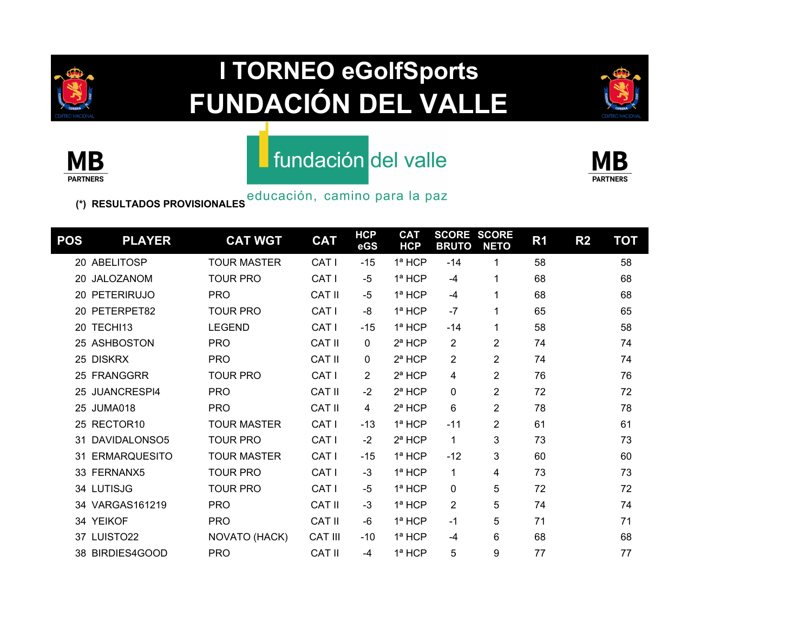

# **I TORNEO eGolfSports FUNDACIÓN DEL VALLE**





#### fundación del valle



**(\*) RESULTADOS PROVISIONALES**

| POS | <b>PLAYER</b>       | <b>CAT WGT</b>     | <b>CAT</b>       | <b>HCP</b><br>eGS | <b>CAT</b><br><b>HCP</b> | <b>SCORE</b><br><b>BRUTO</b> | <b>SCORE</b><br><b>NETO</b> | R <sub>1</sub> | R <sub>2</sub> | <b>TOT</b> |
|-----|---------------------|--------------------|------------------|-------------------|--------------------------|------------------------------|-----------------------------|----------------|----------------|------------|
|     | 20 ABELITOSP        | <b>TOUR MASTER</b> | CAT I            | $-15$             | 1ª HCP                   | $-14$                        | 1                           | 58             |                | 58         |
| 20  | <b>JALOZANOM</b>    | <b>TOUR PRO</b>    | CAT I            | $-5$              | 1ª HCP                   | $-4$                         | 1                           | 68             |                | 68         |
|     | 20 PETERIRUJO       | <b>PRO</b>         | <b>CAT II</b>    | $-5$              | 1ª HCP                   | -4                           | $\mathbf{1}$                | 68             |                | 68         |
| 20  | PETERPET82          | <b>TOUR PRO</b>    | CAT I            | -8                | 1ª HCP                   | $-7$                         | 1                           | 65             |                | 65         |
| 20  | TECHI13             | <b>LEGEND</b>      | CAT I            | $-15$             | $1a$ HCP                 | $-14$                        | 1                           | 58             |                | 58         |
|     | 25 ASHBOSTON        | <b>PRO</b>         | <b>CAT II</b>    | 0                 | 2ª HCP                   | 2                            | 2                           | 74             |                | 74         |
|     | 25 DISKRX           | <b>PRO</b>         | <b>CAT II</b>    | 0                 | $2^a$ HCP                | $\overline{c}$               | 2                           | 74             |                | 74         |
|     | 25 FRANGGRR         | <b>TOUR PRO</b>    | CAT I            | 2                 | $2a$ HCP                 | 4                            | 2                           | 76             |                | 76         |
| 25  | JUANCRESPI4         | <b>PRO</b>         | <b>CAT II</b>    | $-2$              | 2 <sup>a</sup> HCP       | 0                            | 2                           | 72             |                | 72         |
|     | 25 JUMA018          | <b>PRO</b>         | <b>CAT II</b>    | 4                 | 2ª HCP                   | 6                            | 2                           | 78             |                | 78         |
|     | 25 RECTOR10         | <b>TOUR MASTER</b> | CAT I            | $-13$             | 1ª HCP                   | $-11$                        | 2                           | 61             |                | 61         |
| 31  | DAVIDALONSO5        | <b>TOUR PRO</b>    | CAT I            | $-2$              | $2^a$ HCP                | 1                            | 3                           | 73             |                | 73         |
| 31  | <b>ERMARQUESITO</b> | <b>TOUR MASTER</b> | CAT I            | $-15$             | $1a$ HCP                 | $-12$                        | 3                           | 60             |                | 60         |
|     | 33 FERNANX5         | <b>TOUR PRO</b>    | CAT <sub>I</sub> | $-3$              | 1ª HCP                   | 1                            | 4                           | 73             |                | 73         |
|     | 34 LUTISJG          | <b>TOUR PRO</b>    | CAT I            | $-5$              | $1a$ HCP                 | 0                            | 5                           | 72             |                | 72         |
|     | 34 VARGAS161219     | <b>PRO</b>         | <b>CAT II</b>    | $-3$              | 1ª HCP                   | 2                            | 5                           | 74             |                | 74         |
|     | 34 YEIKOF           | <b>PRO</b>         | <b>CAT II</b>    | $-6$              | 1ª HCP                   | $-1$                         | 5                           | 71             |                | 71         |
| 37  | LUISTO22            | NOVATO (HACK)      | <b>CAT III</b>   | $-10$             | 1ª HCP                   | -4                           | 6                           | 68             |                | 68         |
|     | 38 BIRDIES4GOOD     | <b>PRO</b>         | <b>CAT II</b>    | -4                | 1ª HCP                   | 5                            | 9                           | 77             |                | 77         |